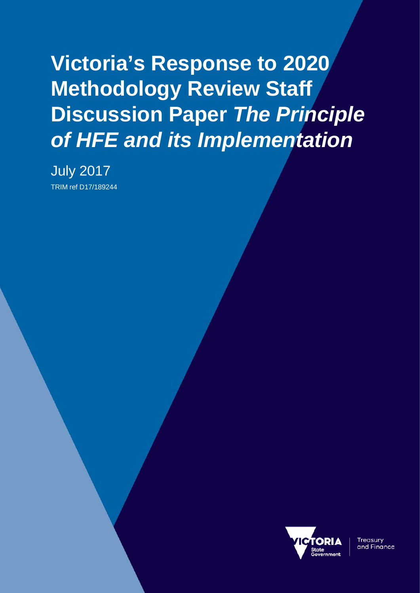**Victoria's Response to 2020 Methodology Review Staff Discussion Paper** *The Principle of HFE and its Implementation*

July 2017 TRIM ref D17/189244



Treasury and Finance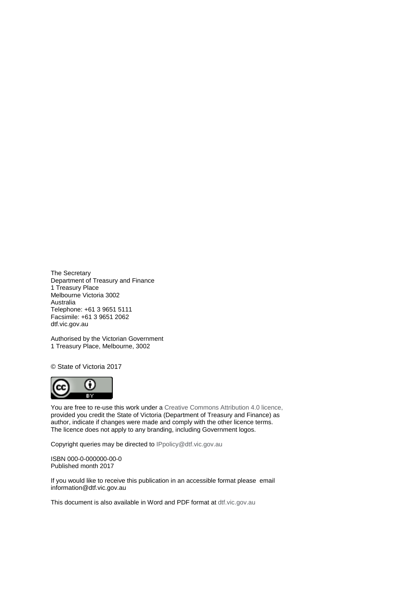The Secretary Department of Treasury and Finance 1 Treasury Place Melbourne Victoria 3002 Australia Telephone: +61 3 9651 5111 Facsimile: +61 3 9651 2062 dtf.vic.gov.au

Authorised by the Victorian Government 1 Treasury Place, Melbourne, 3002

© State of Victoria 2017



You are free to re-use this work under a [Creative Commons Attribution 4.0 licence,](http://creativecommons.org/licenses/by/4.0/) provided you credit the State of Victoria (Department of Treasury and Finance) as author, indicate if changes were made and comply with the other licence terms. The licence does not apply to any branding, including Government logos.

Copyright queries may be directed t[o IPpolicy@dtf.vic.gov.au](mailto:IPpolicy@dtf.vic.gov.au)

ISBN 000-0-000000-00-0 Published month 2017

If you would like to receive this publication in an accessible format please email [information@dtf.vic.gov.au](mailto:information@dtf.vic.gov.au)

This document is also available in Word and PDF format at [dtf.vic.gov.au](http://www.dtf.vic.gov.au/)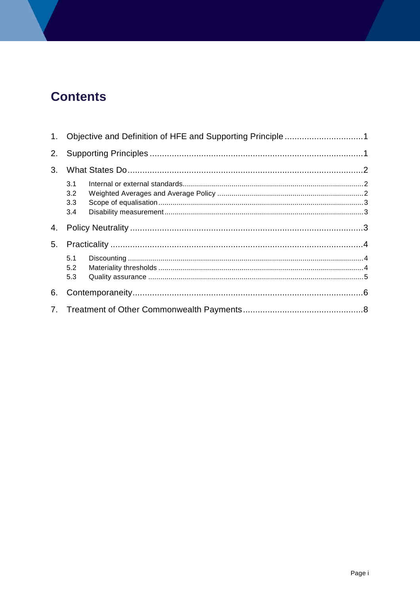# **Contents**

| 2. |                          |  |  |  |  |
|----|--------------------------|--|--|--|--|
| 3. |                          |  |  |  |  |
|    | 3.1<br>3.2<br>3.3<br>3.4 |  |  |  |  |
| 4. |                          |  |  |  |  |
| 5. |                          |  |  |  |  |
|    | 5.1<br>5.2<br>5.3        |  |  |  |  |
| 6. |                          |  |  |  |  |
|    |                          |  |  |  |  |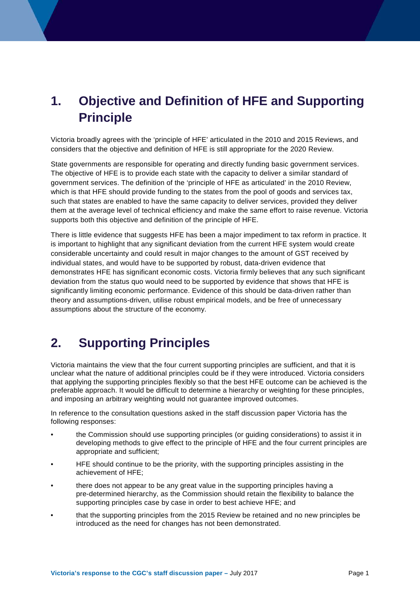# <span id="page-4-0"></span>**1. Objective and Definition of HFE and Supporting Principle**

Victoria broadly agrees with the 'principle of HFE' articulated in the 2010 and 2015 Reviews, and considers that the objective and definition of HFE is still appropriate for the 2020 Review.

State governments are responsible for operating and directly funding basic government services. The objective of HFE is to provide each state with the capacity to deliver a similar standard of government services. The definition of the 'principle of HFE as articulated' in the 2010 Review, which is that HFE should provide funding to the states from the pool of goods and services tax, such that states are enabled to have the same capacity to deliver services, provided they deliver them at the average level of technical efficiency and make the same effort to raise revenue. Victoria supports both this objective and definition of the principle of HFE.

There is little evidence that suggests HFE has been a major impediment to tax reform in practice. It is important to highlight that any significant deviation from the current HFE system would create considerable uncertainty and could result in major changes to the amount of GST received by individual states, and would have to be supported by robust, data-driven evidence that demonstrates HFE has significant economic costs. Victoria firmly believes that any such significant deviation from the status quo would need to be supported by evidence that shows that HFE is significantly limiting economic performance. Evidence of this should be data-driven rather than theory and assumptions-driven, utilise robust empirical models, and be free of unnecessary assumptions about the structure of the economy.

## <span id="page-4-1"></span>**2. Supporting Principles**

Victoria maintains the view that the four current supporting principles are sufficient, and that it is unclear what the nature of additional principles could be if they were introduced. Victoria considers that applying the supporting principles flexibly so that the best HFE outcome can be achieved is the preferable approach. It would be difficult to determine a hierarchy or weighting for these principles, and imposing an arbitrary weighting would not guarantee improved outcomes.

In reference to the consultation questions asked in the staff discussion paper Victoria has the following responses:

- the Commission should use supporting principles (or guiding considerations) to assist it in developing methods to give effect to the principle of HFE and the four current principles are appropriate and sufficient;
- HFE should continue to be the priority, with the supporting principles assisting in the achievement of HFE;
- there does not appear to be any great value in the supporting principles having a pre-determined hierarchy, as the Commission should retain the flexibility to balance the supporting principles case by case in order to best achieve HFE; and
- that the supporting principles from the 2015 Review be retained and no new principles be introduced as the need for changes has not been demonstrated.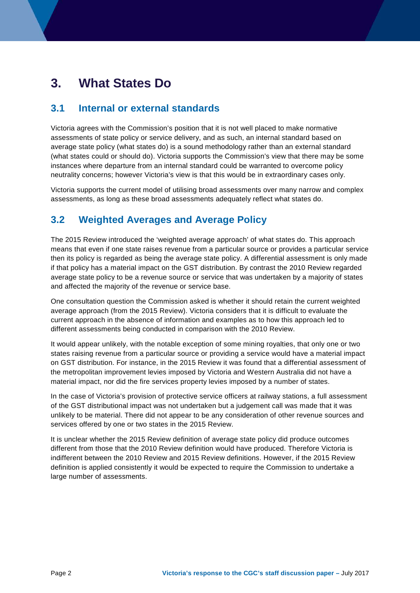## <span id="page-5-0"></span>**3. What States Do**

#### <span id="page-5-1"></span>**3.1 Internal or external standards**

Victoria agrees with the Commission's position that it is not well placed to make normative assessments of state policy or service delivery, and as such, an internal standard based on average state policy (what states do) is a sound methodology rather than an external standard (what states could or should do). Victoria supports the Commission's view that there may be some instances where departure from an internal standard could be warranted to overcome policy neutrality concerns; however Victoria's view is that this would be in extraordinary cases only.

Victoria supports the current model of utilising broad assessments over many narrow and complex assessments, as long as these broad assessments adequately reflect what states do.

### <span id="page-5-2"></span>**3.2 Weighted Averages and Average Policy**

The 2015 Review introduced the 'weighted average approach' of what states do. This approach means that even if one state raises revenue from a particular source or provides a particular service then its policy is regarded as being the average state policy. A differential assessment is only made if that policy has a material impact on the GST distribution. By contrast the 2010 Review regarded average state policy to be a revenue source or service that was undertaken by a majority of states and affected the majority of the revenue or service base.

One consultation question the Commission asked is whether it should retain the current weighted average approach (from the 2015 Review). Victoria considers that it is difficult to evaluate the current approach in the absence of information and examples as to how this approach led to different assessments being conducted in comparison with the 2010 Review.

It would appear unlikely, with the notable exception of some mining royalties, that only one or two states raising revenue from a particular source or providing a service would have a material impact on GST distribution. For instance, in the 2015 Review it was found that a differential assessment of the metropolitan improvement levies imposed by Victoria and Western Australia did not have a material impact, nor did the fire services property levies imposed by a number of states.

In the case of Victoria's provision of protective service officers at railway stations, a full assessment of the GST distributional impact was not undertaken but a judgement call was made that it was unlikely to be material. There did not appear to be any consideration of other revenue sources and services offered by one or two states in the 2015 Review.

It is unclear whether the 2015 Review definition of average state policy did produce outcomes different from those that the 2010 Review definition would have produced. Therefore Victoria is indifferent between the 2010 Review and 2015 Review definitions. However, if the 2015 Review definition is applied consistently it would be expected to require the Commission to undertake a large number of assessments.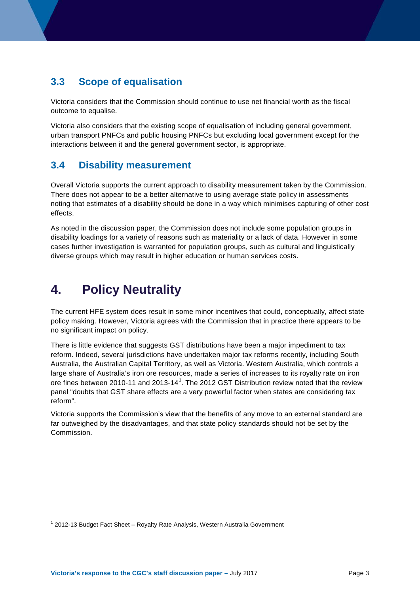### <span id="page-6-0"></span>**3.3 Scope of equalisation**

Victoria considers that the Commission should continue to use net financial worth as the fiscal outcome to equalise.

Victoria also considers that the existing scope of equalisation of including general government, urban transport PNFCs and public housing PNFCs but excluding local government except for the interactions between it and the general government sector, is appropriate.

### <span id="page-6-1"></span>**3.4 Disability measurement**

Overall Victoria supports the current approach to disability measurement taken by the Commission. There does not appear to be a better alternative to using average state policy in assessments noting that estimates of a disability should be done in a way which minimises capturing of other cost effects.

As noted in the discussion paper, the Commission does not include some population groups in disability loadings for a variety of reasons such as materiality or a lack of data. However in some cases further investigation is warranted for population groups, such as cultural and linguistically diverse groups which may result in higher education or human services costs.

## <span id="page-6-2"></span>**4. Policy Neutrality**

The current HFE system does result in some minor incentives that could, conceptually, affect state policy making. However, Victoria agrees with the Commission that in practice there appears to be no significant impact on policy.

There is little evidence that suggests GST distributions have been a major impediment to tax reform. Indeed, several jurisdictions have undertaken major tax reforms recently, including South Australia, the Australian Capital Territory, as well as Victoria. Western Australia, which controls a large share of Australia's iron ore resources, made a series of increases to its royalty rate on iron ore fines between 20[1](#page-6-3)0-11 and 2013-14<sup>1</sup>. The 2012 GST Distribution review noted that the review panel "doubts that GST share effects are a very powerful factor when states are considering tax reform".

Victoria supports the Commission's view that the benefits of any move to an external standard are far outweighed by the disadvantages, and that state policy standards should not be set by the Commission.

<span id="page-6-3"></span><sup>&</sup>lt;sup>1</sup> 2012-13 Budget Fact Sheet – Royalty Rate Analysis, Western Australia Government ŧ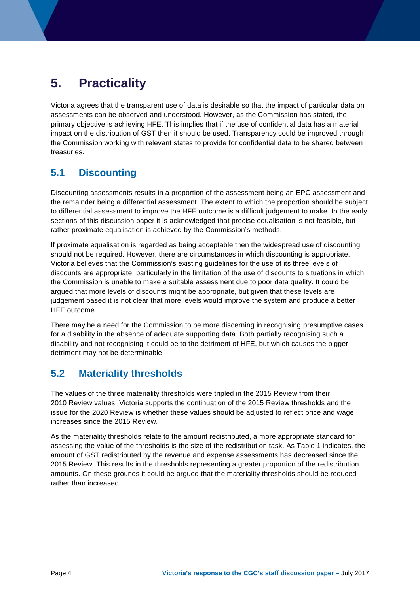# <span id="page-7-0"></span>**5. Practicality**

Victoria agrees that the transparent use of data is desirable so that the impact of particular data on assessments can be observed and understood. However, as the Commission has stated, the primary objective is achieving HFE. This implies that if the use of confidential data has a material impact on the distribution of GST then it should be used. Transparency could be improved through the Commission working with relevant states to provide for confidential data to be shared between treasuries.

## <span id="page-7-1"></span>**5.1 Discounting**

Discounting assessments results in a proportion of the assessment being an EPC assessment and the remainder being a differential assessment. The extent to which the proportion should be subject to differential assessment to improve the HFE outcome is a difficult judgement to make. In the early sections of this discussion paper it is acknowledged that precise equalisation is not feasible, but rather proximate equalisation is achieved by the Commission's methods.

If proximate equalisation is regarded as being acceptable then the widespread use of discounting should not be required. However, there are circumstances in which discounting is appropriate. Victoria believes that the Commission's existing guidelines for the use of its three levels of discounts are appropriate, particularly in the limitation of the use of discounts to situations in which the Commission is unable to make a suitable assessment due to poor data quality. It could be argued that more levels of discounts might be appropriate, but given that these levels are judgement based it is not clear that more levels would improve the system and produce a better HFE outcome.

There may be a need for the Commission to be more discerning in recognising presumptive cases for a disability in the absence of adequate supporting data. Both partially recognising such a disability and not recognising it could be to the detriment of HFE, but which causes the bigger detriment may not be determinable.

## <span id="page-7-2"></span>**5.2 Materiality thresholds**

The values of the three materiality thresholds were tripled in the 2015 Review from their 2010 Review values. Victoria supports the continuation of the 2015 Review thresholds and the issue for the 2020 Review is whether these values should be adjusted to reflect price and wage increases since the 2015 Review.

As the materiality thresholds relate to the amount redistributed, a more appropriate standard for assessing the value of the thresholds is the size of the redistribution task. As Table 1 indicates, the amount of GST redistributed by the revenue and expense assessments has decreased since the 2015 Review. This results in the thresholds representing a greater proportion of the redistribution amounts. On these grounds it could be argued that the materiality thresholds should be reduced rather than increased.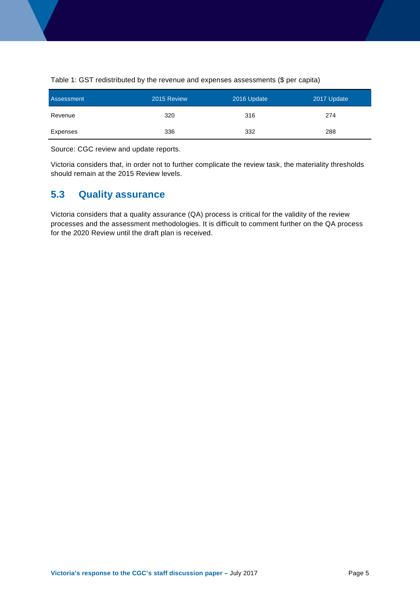| Assessment | 2015 Review | 2016 Update | 2017 Update |
|------------|-------------|-------------|-------------|
| Revenue    | 320         | 316         | 274         |
| Expenses   | 336         | 332         | 288         |

Table 1: GST redistributed by the revenue and expenses assessments (\$ per capita)

Source: CGC review and update reports.

Victoria considers that, in order not to further complicate the review task, the materiality thresholds should remain at the 2015 Review levels.

### <span id="page-8-0"></span>**5.3 Quality assurance**

Victoria considers that a quality assurance (QA) process is critical for the validity of the review processes and the assessment methodologies. It is difficult to comment further on the QA process for the 2020 Review until the draft plan is received.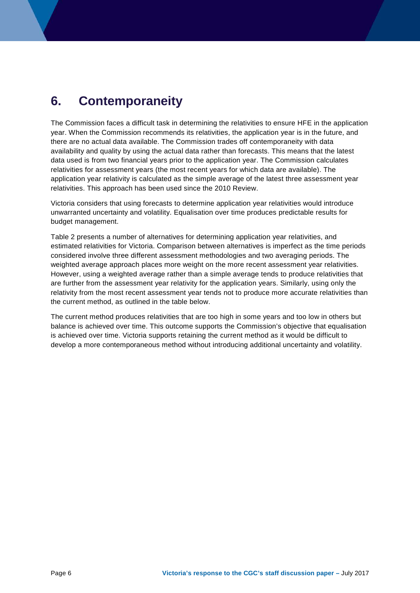## <span id="page-9-0"></span>**6. Contemporaneity**

The Commission faces a difficult task in determining the relativities to ensure HFE in the application year. When the Commission recommends its relativities, the application year is in the future, and there are no actual data available. The Commission trades off contemporaneity with data availability and quality by using the actual data rather than forecasts. This means that the latest data used is from two financial years prior to the application year. The Commission calculates relativities for assessment years (the most recent years for which data are available). The application year relativity is calculated as the simple average of the latest three assessment year relativities. This approach has been used since the 2010 Review.

Victoria considers that using forecasts to determine application year relativities would introduce unwarranted uncertainty and volatility. Equalisation over time produces predictable results for budget management.

Table 2 presents a number of alternatives for determining application year relativities, and estimated relativities for Victoria. Comparison between alternatives is imperfect as the time periods considered involve three different assessment methodologies and two averaging periods. The weighted average approach places more weight on the more recent assessment year relativities. However, using a weighted average rather than a simple average tends to produce relativities that are further from the assessment year relativity for the application years. Similarly, using only the relativity from the most recent assessment year tends not to produce more accurate relativities than the current method, as outlined in the table below.

The current method produces relativities that are too high in some years and too low in others but balance is achieved over time. This outcome supports the Commission's objective that equalisation is achieved over time. Victoria supports retaining the current method as it would be difficult to develop a more contemporaneous method without introducing additional uncertainty and volatility.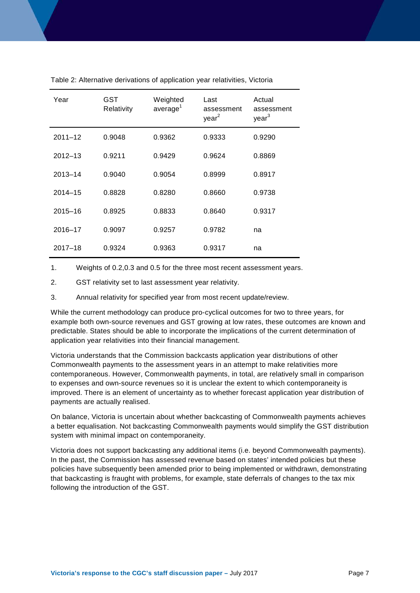| Year        | GST<br>Relativity | Weighted<br>average <sup>1</sup> | Last<br>assessment<br>year <sup>2</sup> | Actual<br>assessment<br>year <sup>3</sup> |
|-------------|-------------------|----------------------------------|-----------------------------------------|-------------------------------------------|
| $2011 - 12$ | 0.9048            | 0.9362                           | 0.9333                                  | 0.9290                                    |
| $2012 - 13$ | 0.9211            | 0.9429                           | 0.9624                                  | 0.8869                                    |
| $2013 - 14$ | 0.9040            | 0.9054                           | 0.8999                                  | 0.8917                                    |
| $2014 - 15$ | 0.8828            | 0.8280                           | 0.8660                                  | 0.9738                                    |
| $2015 - 16$ | 0.8925            | 0.8833                           | 0.8640                                  | 0.9317                                    |
| 2016-17     | 0.9097            | 0.9257                           | 0.9782                                  | na                                        |
| $2017 - 18$ | 0.9324            | 0.9363                           | 0.9317                                  | na                                        |

Table 2: Alternative derivations of application year relativities, Victoria

1. Weights of 0.2,0.3 and 0.5 for the three most recent assessment years.

2. GST relativity set to last assessment year relativity.

3. Annual relativity for specified year from most recent update/review.

While the current methodology can produce pro-cyclical outcomes for two to three years, for example both own-source revenues and GST growing at low rates, these outcomes are known and predictable. States should be able to incorporate the implications of the current determination of application year relativities into their financial management.

Victoria understands that the Commission backcasts application year distributions of other Commonwealth payments to the assessment years in an attempt to make relativities more contemporaneous. However, Commonwealth payments, in total, are relatively small in comparison to expenses and own-source revenues so it is unclear the extent to which contemporaneity is improved. There is an element of uncertainty as to whether forecast application year distribution of payments are actually realised.

On balance, Victoria is uncertain about whether backcasting of Commonwealth payments achieves a better equalisation. Not backcasting Commonwealth payments would simplify the GST distribution system with minimal impact on contemporaneity.

Victoria does not support backcasting any additional items (i.e. beyond Commonwealth payments). In the past, the Commission has assessed revenue based on states' intended policies but these policies have subsequently been amended prior to being implemented or withdrawn, demonstrating that backcasting is fraught with problems, for example, state deferrals of changes to the tax mix following the introduction of the GST.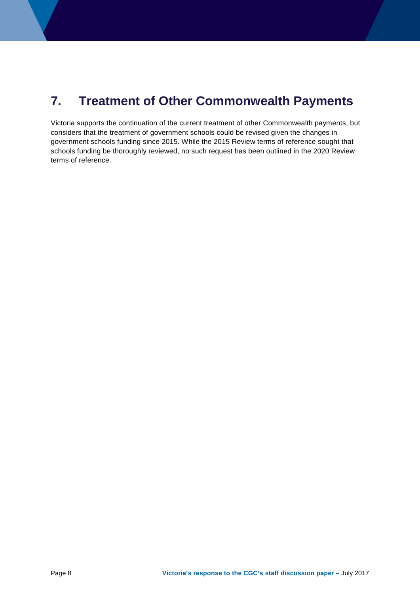## <span id="page-11-0"></span>**7. Treatment of Other Commonwealth Payments**

Victoria supports the continuation of the current treatment of other Commonwealth payments, but considers that the treatment of government schools could be revised given the changes in government schools funding since 2015. While the 2015 Review terms of reference sought that schools funding be thoroughly reviewed, no such request has been outlined in the 2020 Review terms of reference.